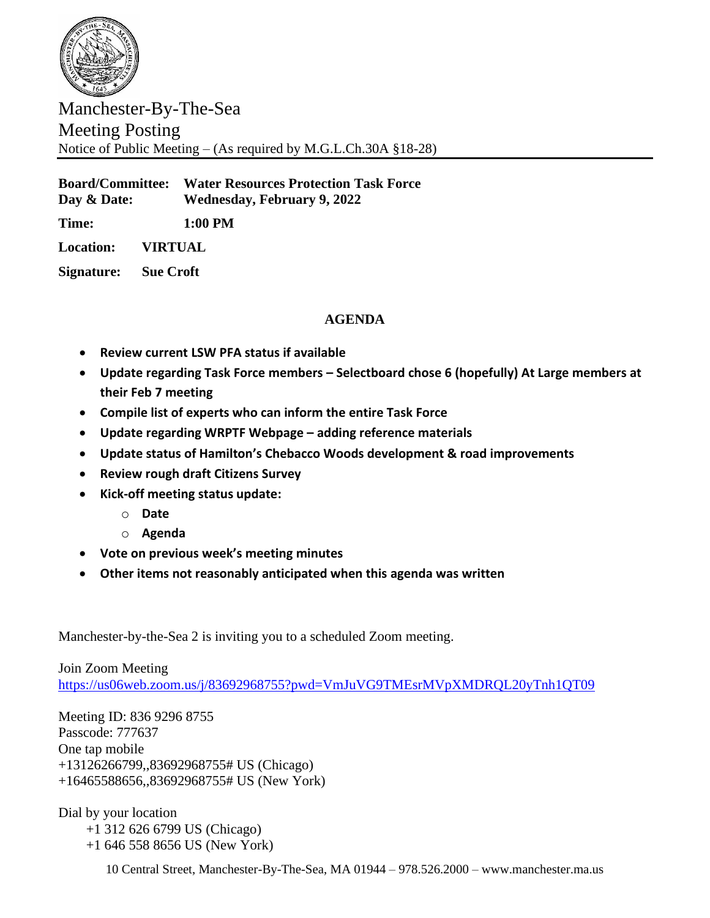

Manchester-By-The-Sea Meeting Posting Notice of Public Meeting – (As required by M.G.L.Ch.30A §18-28)

**Board/Committee: Water Resources Protection Task Force Day & Date: Wednesday, February 9, 2022**

**Time: 1:00 PM**

**Location: VIRTUAL**

**Signature: Sue Croft**

## **AGENDA**

- **Review current LSW PFA status if available**
- **Update regarding Task Force members – Selectboard chose 6 (hopefully) At Large members at their Feb 7 meeting**
- **Compile list of experts who can inform the entire Task Force**
- **Update regarding WRPTF Webpage – adding reference materials**
- **Update status of Hamilton's Chebacco Woods development & road improvements**
- **Review rough draft Citizens Survey**
- **Kick-off meeting status update:**
	- o **Date**
	- o **Agenda**
- **Vote on previous week's meeting minutes**
- **Other items not reasonably anticipated when this agenda was written**

Manchester-by-the-Sea 2 is inviting you to a scheduled Zoom meeting.

Join Zoom Meeting <https://us06web.zoom.us/j/83692968755?pwd=VmJuVG9TMEsrMVpXMDRQL20yTnh1QT09>

Meeting ID: 836 9296 8755 Passcode: 777637 One tap mobile +13126266799,,83692968755# US (Chicago) +16465588656,,83692968755# US (New York)

Dial by your location +1 312 626 6799 US (Chicago) +1 646 558 8656 US (New York)

10 Central Street, Manchester-By-The-Sea, MA 01944 – 978.526.2000 – www.manchester.ma.us